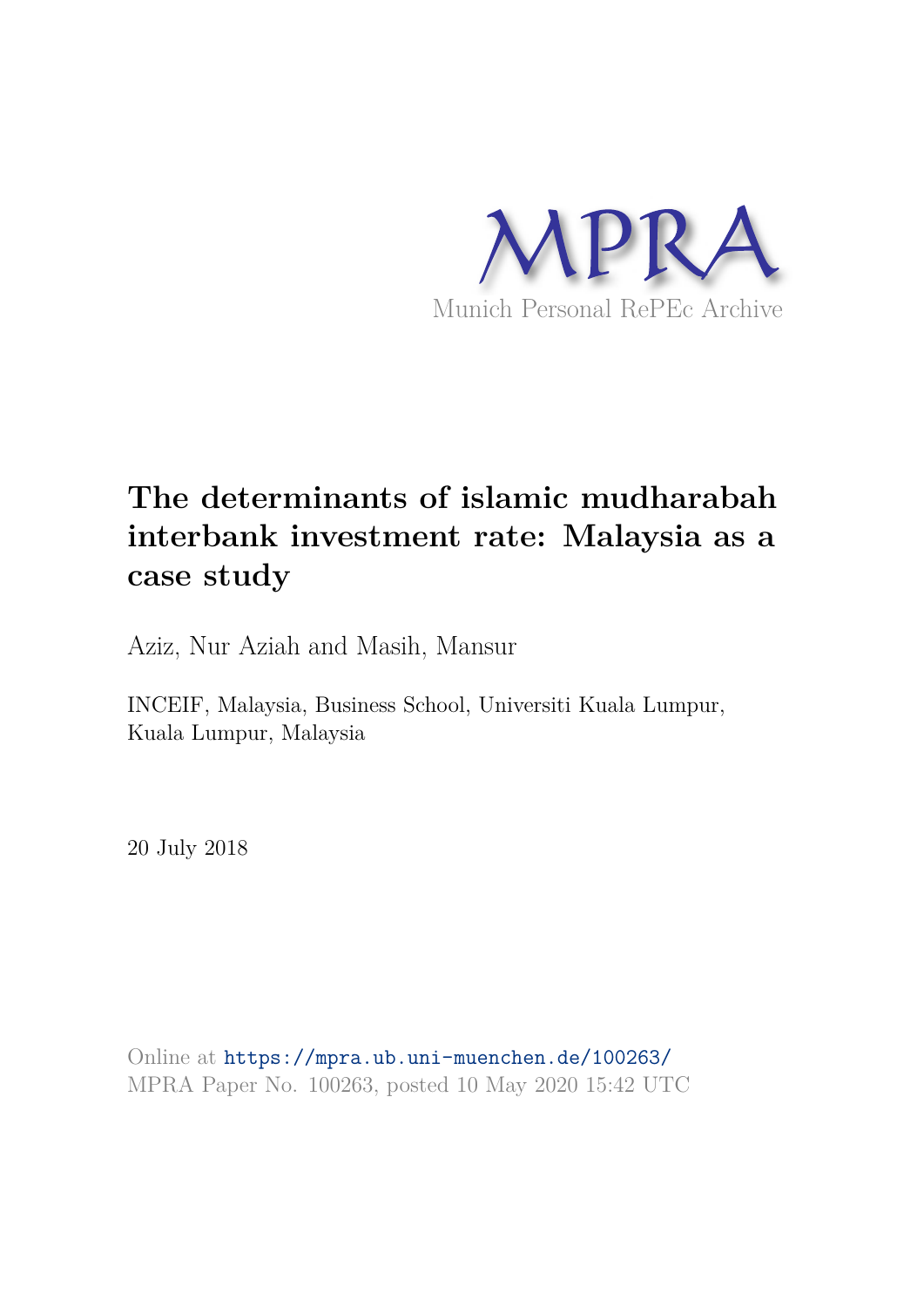

# **The determinants of islamic mudharabah interbank investment rate: Malaysia as a case study**

Aziz, Nur Aziah and Masih, Mansur

INCEIF, Malaysia, Business School, Universiti Kuala Lumpur, Kuala Lumpur, Malaysia

20 July 2018

Online at https://mpra.ub.uni-muenchen.de/100263/ MPRA Paper No. 100263, posted 10 May 2020 15:42 UTC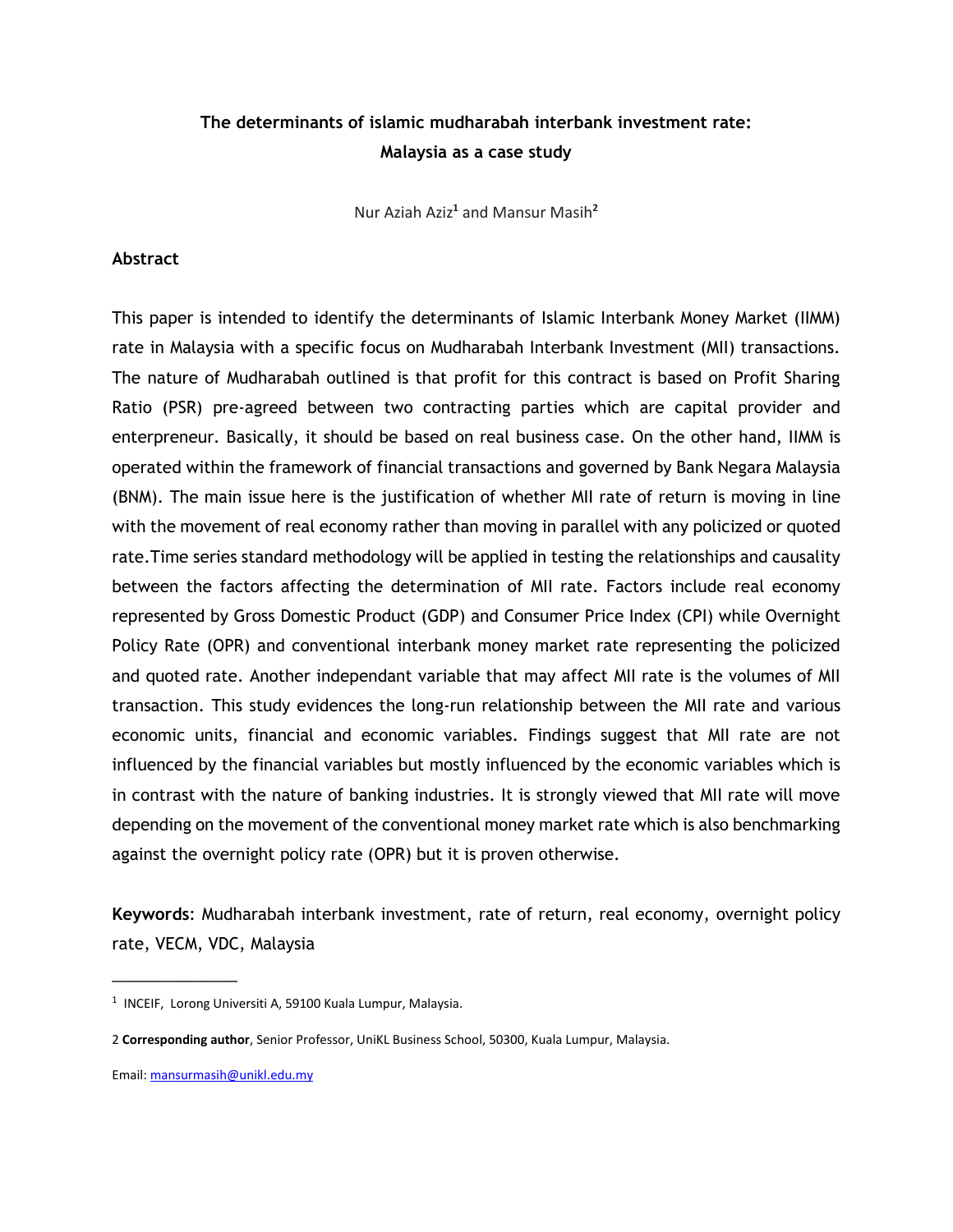# **The determinants of islamic mudharabah interbank investment rate: Malaysia as a case study**

Nur Aziah Aziz**<sup>1</sup>** and Mansur Masih**<sup>2</sup>**

#### **Abstract**

This paper is intended to identify the determinants of Islamic Interbank Money Market (IIMM) rate in Malaysia with a specific focus on Mudharabah Interbank Investment (MII) transactions. The nature of Mudharabah outlined is that profit for this contract is based on Profit Sharing Ratio (PSR) pre-agreed between two contracting parties which are capital provider and enterpreneur. Basically, it should be based on real business case. On the other hand, IIMM is operated within the framework of financial transactions and governed by Bank Negara Malaysia (BNM). The main issue here is the justification of whether MII rate of return is moving in line with the movement of real economy rather than moving in parallel with any policized or quoted rate.Time series standard methodology will be applied in testing the relationships and causality between the factors affecting the determination of MII rate. Factors include real economy represented by Gross Domestic Product (GDP) and Consumer Price Index (CPI) while Overnight Policy Rate (OPR) and conventional interbank money market rate representing the policized and quoted rate. Another independant variable that may affect MII rate is the volumes of MII transaction. This study evidences the long-run relationship between the MII rate and various economic units, financial and economic variables. Findings suggest that MII rate are not influenced by the financial variables but mostly influenced by the economic variables which is in contrast with the nature of banking industries. It is strongly viewed that MII rate will move depending on the movement of the conventional money market rate which is also benchmarking against the overnight policy rate (OPR) but it is proven otherwise.

**Keywords**: Mudharabah interbank investment, rate of return, real economy, overnight policy rate, VECM, VDC, Malaysia

\_\_\_\_\_\_\_\_\_\_\_\_\_\_

<sup>&</sup>lt;sup>1</sup> INCEIF, Lorong Universiti A, 59100 Kuala Lumpur, Malaysia.

<sup>2</sup> **Corresponding author**, Senior Professor, UniKL Business School, 50300, Kuala Lumpur, Malaysia.

Email: mansurmasih@unikl.edu.my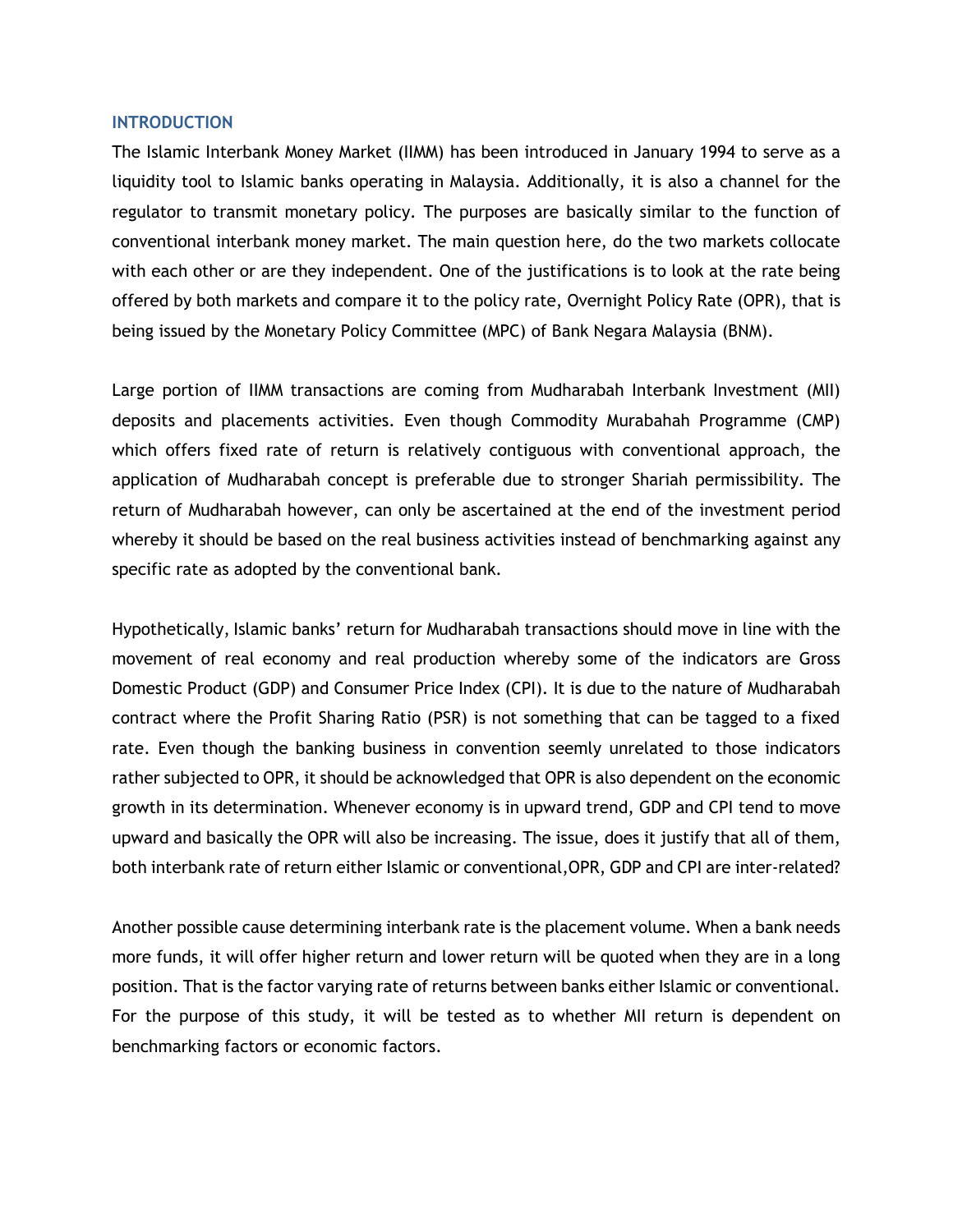#### **INTRODUCTION**

The Islamic Interbank Money Market (IIMM) has been introduced in January 1994 to serve as a liquidity tool to Islamic banks operating in Malaysia. Additionally, it is also a channel for the regulator to transmit monetary policy. The purposes are basically similar to the function of conventional interbank money market. The main question here, do the two markets collocate with each other or are they independent. One of the justifications is to look at the rate being offered by both markets and compare it to the policy rate, Overnight Policy Rate (OPR), that is being issued by the Monetary Policy Committee (MPC) of Bank Negara Malaysia (BNM).

Large portion of IIMM transactions are coming from Mudharabah Interbank Investment (MII) deposits and placements activities. Even though Commodity Murabahah Programme (CMP) which offers fixed rate of return is relatively contiguous with conventional approach, the application of Mudharabah concept is preferable due to stronger Shariah permissibility. The return of Mudharabah however, can only be ascertained at the end of the investment period whereby it should be based on the real business activities instead of benchmarking against any specific rate as adopted by the conventional bank.

Hypothetically, Islamic banks' return for Mudharabah transactions should move in line with the movement of real economy and real production whereby some of the indicators are Gross Domestic Product (GDP) and Consumer Price Index (CPI). It is due to the nature of Mudharabah contract where the Profit Sharing Ratio (PSR) is not something that can be tagged to a fixed rate. Even though the banking business in convention seemly unrelated to those indicators rather subjected to OPR, it should be acknowledged that OPR is also dependent on the economic growth in its determination. Whenever economy is in upward trend, GDP and CPI tend to move upward and basically the OPR will also be increasing. The issue, does it justify that all of them, both interbank rate of return either Islamic or conventional,OPR, GDP and CPI are inter-related?

Another possible cause determining interbank rate is the placement volume. When a bank needs more funds, it will offer higher return and lower return will be quoted when they are in a long position. That is the factor varying rate of returns between banks either Islamic or conventional. For the purpose of this study, it will be tested as to whether MII return is dependent on benchmarking factors or economic factors.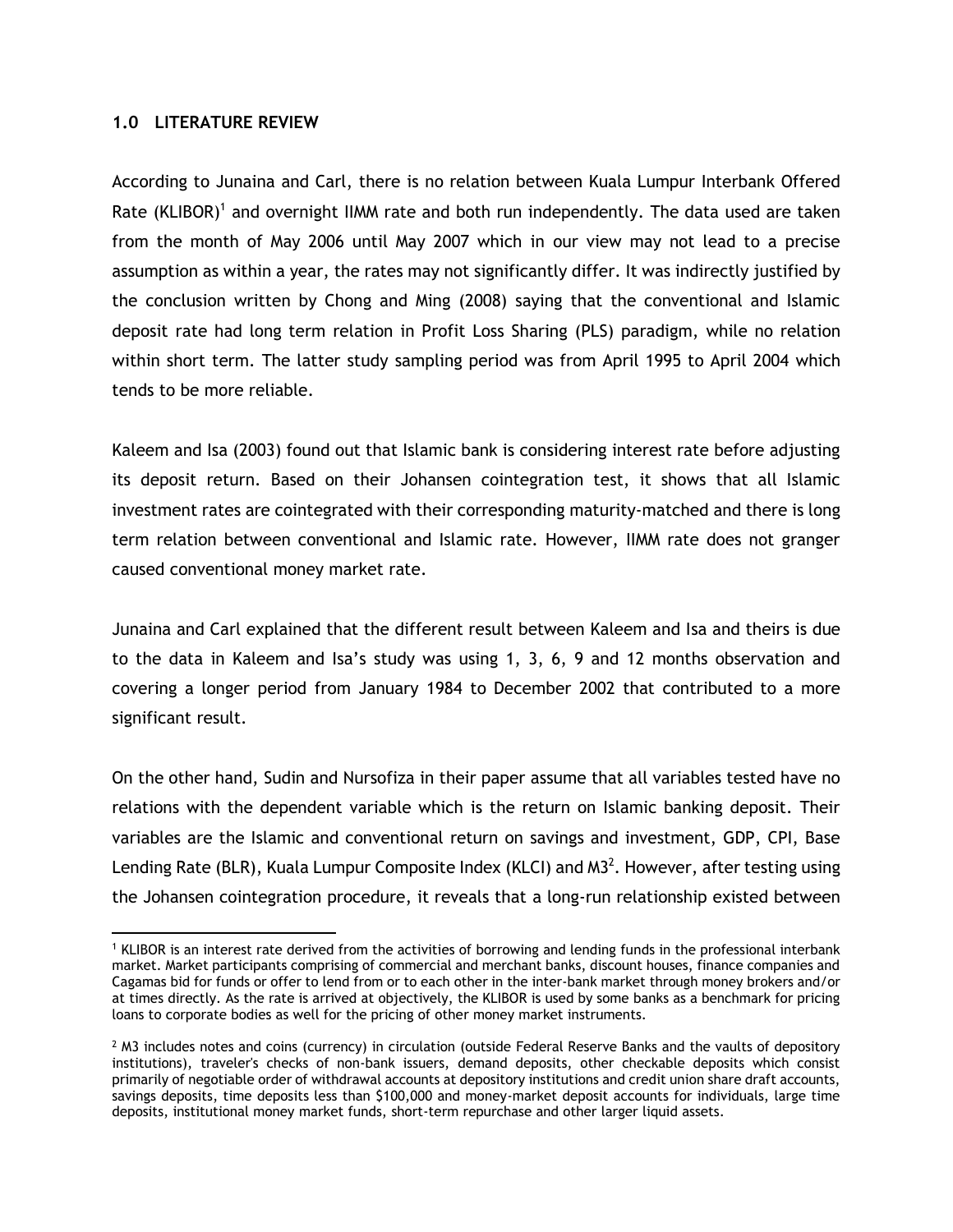#### **1.0 LITERATURE REVIEW**

According to Junaina and Carl, there is no relation between Kuala Lumpur Interbank Offered Rate (KLIBOR)<sup>1</sup> and overnight IIMM rate and both run independently. The data used are taken from the month of May 2006 until May 2007 which in our view may not lead to a precise assumption as within a year, the rates may not significantly differ. It was indirectly justified by the conclusion written by Chong and Ming (2008) saying that the conventional and Islamic deposit rate had long term relation in Profit Loss Sharing (PLS) paradigm, while no relation within short term. The latter study sampling period was from April 1995 to April 2004 which tends to be more reliable.

Kaleem and Isa (2003) found out that Islamic bank is considering interest rate before adjusting its deposit return. Based on their Johansen cointegration test, it shows that all Islamic investment rates are cointegrated with their corresponding maturity-matched and there is long term relation between conventional and Islamic rate. However, IIMM rate does not granger caused conventional money market rate.

Junaina and Carl explained that the different result between Kaleem and Isa and theirs is due to the data in Kaleem and Isa's study was using 1, 3, 6, 9 and 12 months observation and covering a longer period from January 1984 to December 2002 that contributed to a more significant result.

On the other hand, Sudin and Nursofiza in their paper assume that all variables tested have no relations with the dependent variable which is the return on Islamic banking deposit. Their variables are the Islamic and conventional return on savings and investment, GDP, CPI, Base Lending Rate (BLR), Kuala Lumpur Composite Index (KLCI) and M3<sup>2</sup>. However, after testing using the Johansen cointegration procedure, it reveals that a long-run relationship existed between

<sup>1</sup> KLIBOR is an interest rate derived from the activities of borrowing and lending funds in the professional interbank market. Market participants comprising of commercial and merchant banks, discount houses, finance companies and Cagamas bid for funds or offer to lend from or to each other in the inter-bank market through money brokers and/or at times directly. As the rate is arrived at objectively, the KLIBOR is used by some banks as a benchmark for pricing loans to corporate bodies as well for the pricing of other money market instruments.

 $^2$  M3 includes notes and coins (currency) in circulation (outside Federal Reserve Banks and the vaults of depository institutions), traveler's checks of non-bank issuers, demand deposits, other checkable deposits which consist primarily of negotiable order of withdrawal accounts at depository institutions and credit union share draft accounts, savings deposits, time deposits less than \$100,000 and money-market deposit accounts for individuals, large time deposits, institutional money market funds, short-term repurchase and other larger liquid assets.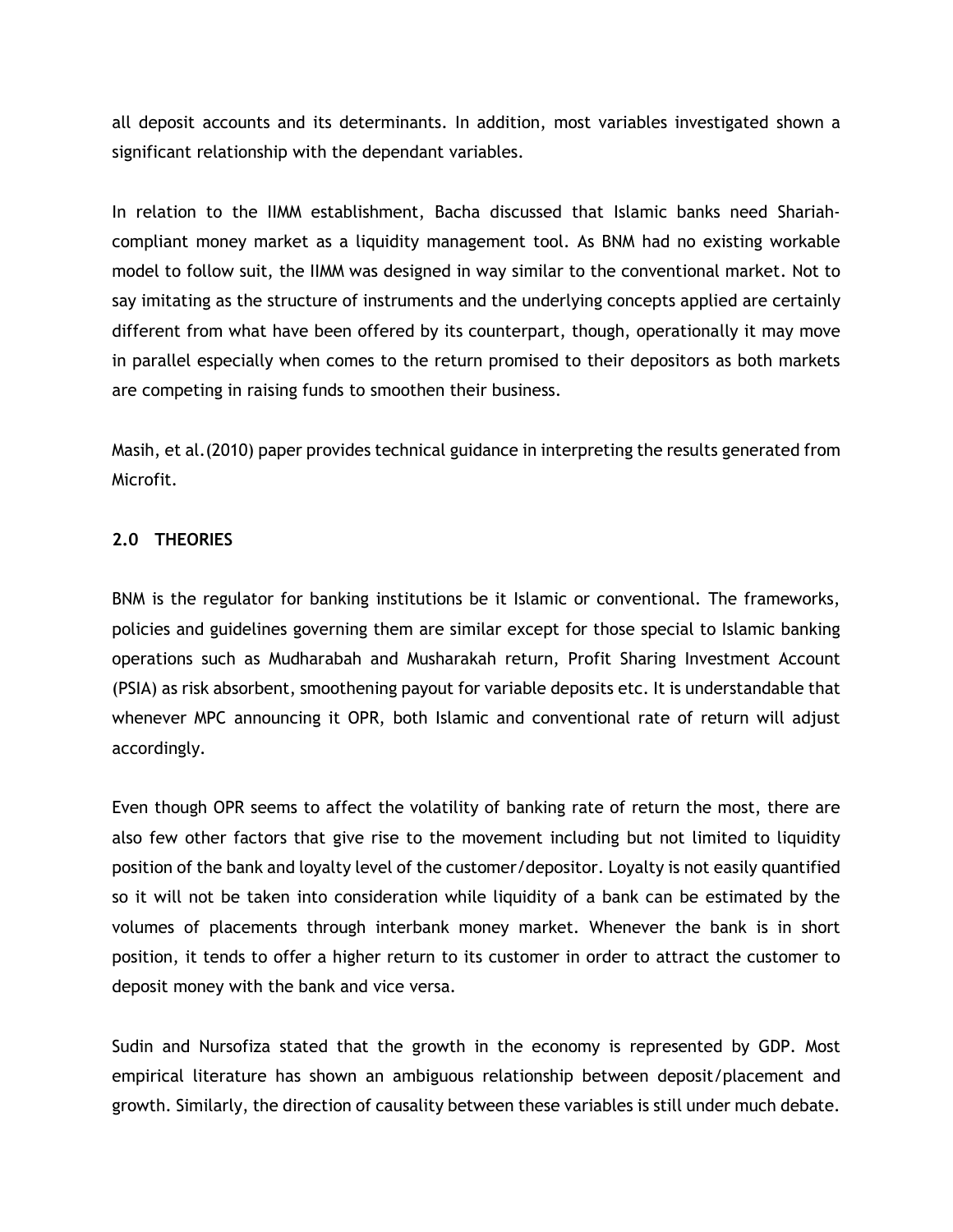all deposit accounts and its determinants. In addition, most variables investigated shown a significant relationship with the dependant variables.

In relation to the IIMM establishment, Bacha discussed that Islamic banks need Shariahcompliant money market as a liquidity management tool. As BNM had no existing workable model to follow suit, the IIMM was designed in way similar to the conventional market. Not to say imitating as the structure of instruments and the underlying concepts applied are certainly different from what have been offered by its counterpart, though, operationally it may move in parallel especially when comes to the return promised to their depositors as both markets are competing in raising funds to smoothen their business.

Masih, et al.(2010) paper provides technical guidance in interpreting the results generated from Microfit.

#### **2.0 THEORIES**

BNM is the regulator for banking institutions be it Islamic or conventional. The frameworks, policies and guidelines governing them are similar except for those special to Islamic banking operations such as Mudharabah and Musharakah return, Profit Sharing Investment Account (PSIA) as risk absorbent, smoothening payout for variable deposits etc. It is understandable that whenever MPC announcing it OPR, both Islamic and conventional rate of return will adjust accordingly.

Even though OPR seems to affect the volatility of banking rate of return the most, there are also few other factors that give rise to the movement including but not limited to liquidity position of the bank and loyalty level of the customer/depositor. Loyalty is not easily quantified so it will not be taken into consideration while liquidity of a bank can be estimated by the volumes of placements through interbank money market. Whenever the bank is in short position, it tends to offer a higher return to its customer in order to attract the customer to deposit money with the bank and vice versa.

Sudin and Nursofiza stated that the growth in the economy is represented by GDP. Most empirical literature has shown an ambiguous relationship between deposit/placement and growth. Similarly, the direction of causality between these variables is still under much debate.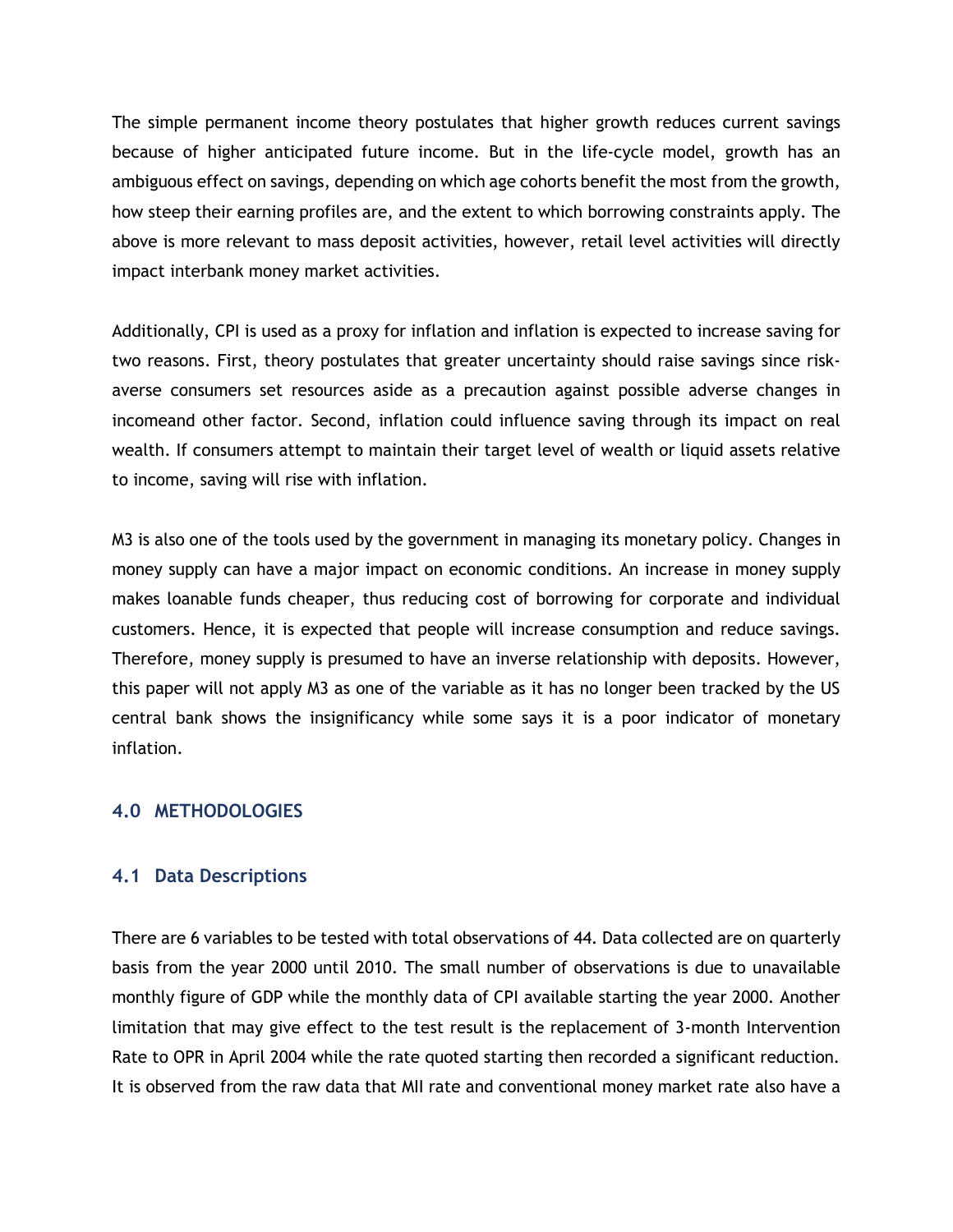The simple permanent income theory postulates that higher growth reduces current savings because of higher anticipated future income. But in the life-cycle model, growth has an ambiguous effect on savings, depending on which age cohorts benefit the most from the growth, how steep their earning profiles are, and the extent to which borrowing constraints apply. The above is more relevant to mass deposit activities, however, retail level activities will directly impact interbank money market activities.

Additionally, CPI is used as a proxy for inflation and inflation is expected to increase saving for two reasons. First, theory postulates that greater uncertainty should raise savings since riskaverse consumers set resources aside as a precaution against possible adverse changes in incomeand other factor. Second, inflation could influence saving through its impact on real wealth. If consumers attempt to maintain their target level of wealth or liquid assets relative to income, saving will rise with inflation.

M3 is also one of the tools used by the government in managing its monetary policy. Changes in money supply can have a major impact on economic conditions. An increase in money supply makes loanable funds cheaper, thus reducing cost of borrowing for corporate and individual customers. Hence, it is expected that people will increase consumption and reduce savings. Therefore, money supply is presumed to have an inverse relationship with deposits. However, this paper will not apply M3 as one of the variable as it has no longer been tracked by the US central bank shows the insignificancy while some says it is a poor indicator of monetary inflation.

### **4.0 METHODOLOGIES**

### **4.1 Data Descriptions**

There are 6 variables to be tested with total observations of 44. Data collected are on quarterly basis from the year 2000 until 2010. The small number of observations is due to unavailable monthly figure of GDP while the monthly data of CPI available starting the year 2000. Another limitation that may give effect to the test result is the replacement of 3-month Intervention Rate to OPR in April 2004 while the rate quoted starting then recorded a significant reduction. It is observed from the raw data that MII rate and conventional money market rate also have a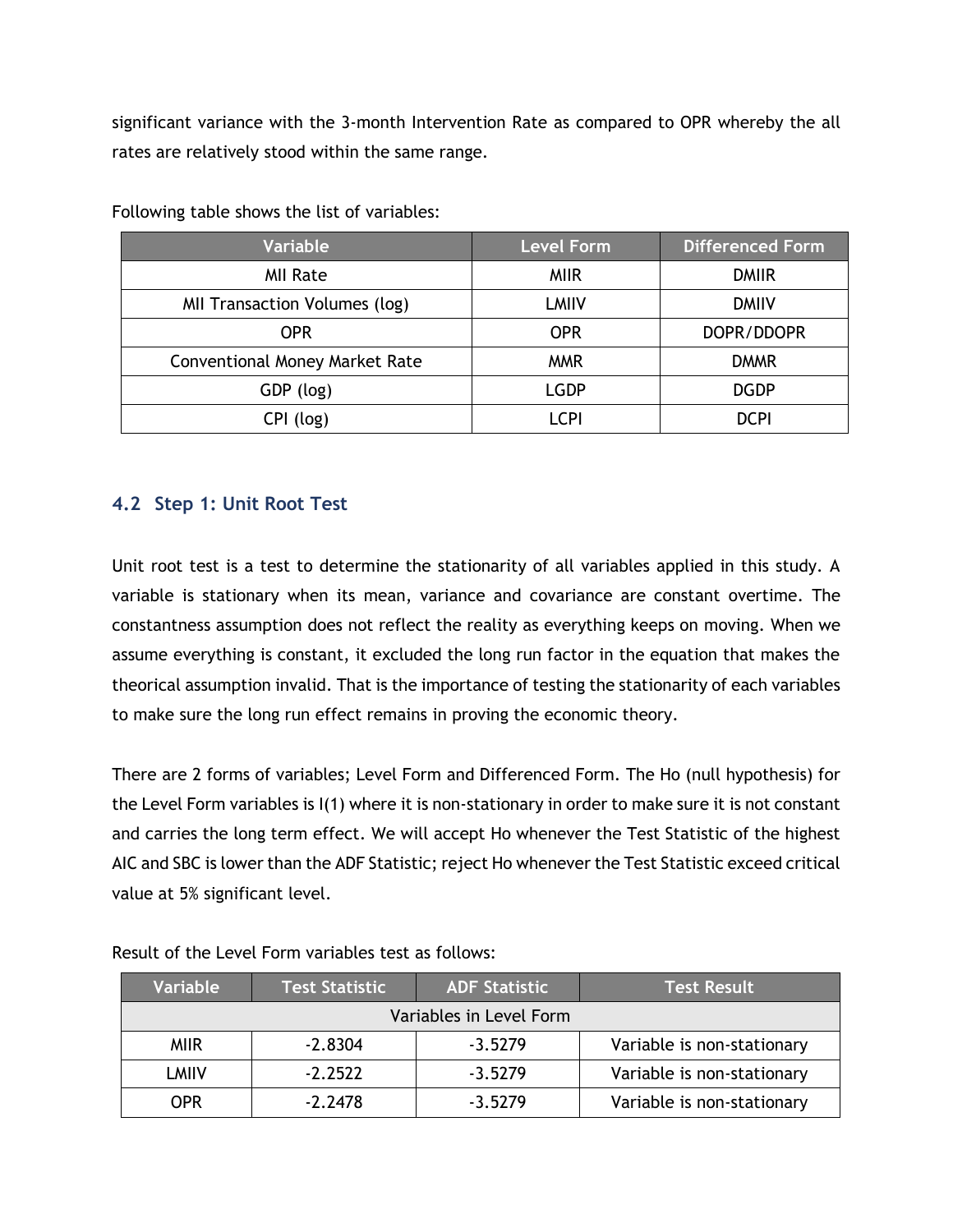significant variance with the 3-month Intervention Rate as compared to OPR whereby the all rates are relatively stood within the same range.

| Variable                              | <b>Level Form</b> | <b>Differenced Form</b> |
|---------------------------------------|-------------------|-------------------------|
| <b>MII Rate</b>                       | <b>MIIR</b>       | <b>DMIIR</b>            |
| MII Transaction Volumes (log)         | <b>LMIIV</b>      | <b>DMIIV</b>            |
| <b>OPR</b>                            | <b>OPR</b>        | DOPR/DDOPR              |
| <b>Conventional Money Market Rate</b> | <b>MMR</b>        | <b>DMMR</b>             |
| GDP (log)                             | <b>LGDP</b>       | <b>DGDP</b>             |
| CPI (log)                             | LCPI              | <b>DCPI</b>             |

Following table shows the list of variables:

## **4.2 Step 1: Unit Root Test**

Unit root test is a test to determine the stationarity of all variables applied in this study. A variable is stationary when its mean, variance and covariance are constant overtime. The constantness assumption does not reflect the reality as everything keeps on moving. When we assume everything is constant, it excluded the long run factor in the equation that makes the theorical assumption invalid. That is the importance of testing the stationarity of each variables to make sure the long run effect remains in proving the economic theory.

There are 2 forms of variables; Level Form and Differenced Form. The Ho (null hypothesis) for the Level Form variables is I(1) where it is non-stationary in order to make sure it is not constant and carries the long term effect. We will accept Ho whenever the Test Statistic of the highest AIC and SBC is lower than the ADF Statistic; reject Ho whenever the Test Statistic exceed critical value at 5% significant level.

| Variable                | <b>Test Statistic</b> | <b>ADF Statistic</b> | <b>Test Result</b>         |  |  |
|-------------------------|-----------------------|----------------------|----------------------------|--|--|
| Variables in Level Form |                       |                      |                            |  |  |
| <b>MIR</b>              | $-2.8304$             | $-3.5279$            | Variable is non-stationary |  |  |
| LMIIV                   | $-2.2522$             | $-3.5279$            | Variable is non-stationary |  |  |
| <b>OPR</b>              | $-2.2478$             | $-3.5279$            | Variable is non-stationary |  |  |

Result of the Level Form variables test as follows: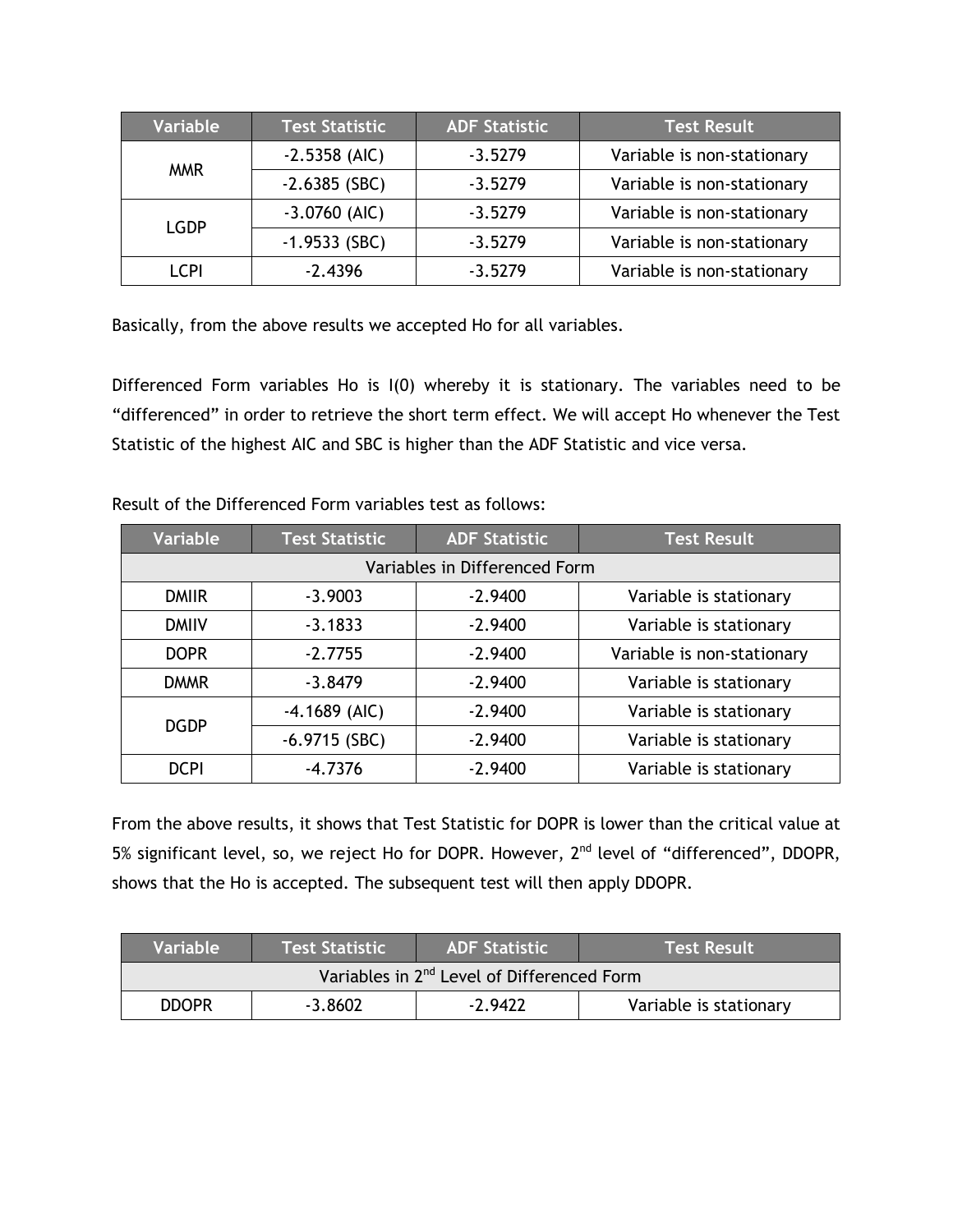| Variable    | <b>Test Statistic</b> | <b>ADF Statistic</b> | <b>Test Result</b>         |
|-------------|-----------------------|----------------------|----------------------------|
| <b>MMR</b>  | $-2.5358$ (AIC)       | $-3.5279$            | Variable is non-stationary |
|             | $-2.6385$ (SBC)       | $-3.5279$            | Variable is non-stationary |
| <b>LGDP</b> | $-3.0760$ (AIC)       | $-3.5279$            | Variable is non-stationary |
|             | $-1.9533$ (SBC)       | $-3.5279$            | Variable is non-stationary |
| LCPI        | $-2.4396$             | $-3.5279$            | Variable is non-stationary |

Basically, from the above results we accepted Ho for all variables.

Differenced Form variables Ho is I(0) whereby it is stationary. The variables need to be "differenced" in order to retrieve the short term effect. We will accept Ho whenever the Test Statistic of the highest AIC and SBC is higher than the ADF Statistic and vice versa.

| <b>Variable</b> | <b>Test Statistic</b> | <b>ADF Statistic</b>          | <b>Test Result</b>         |
|-----------------|-----------------------|-------------------------------|----------------------------|
|                 |                       | Variables in Differenced Form |                            |
| <b>DMIIR</b>    | $-3.9003$             | $-2.9400$                     | Variable is stationary     |
| <b>DMIIV</b>    | $-3.1833$             | $-2.9400$                     | Variable is stationary     |
| <b>DOPR</b>     | $-2.7755$             | $-2.9400$                     | Variable is non-stationary |
| <b>DMMR</b>     | $-3.8479$             | $-2.9400$                     | Variable is stationary     |
| <b>DGDP</b>     | $-4.1689$ (AIC)       | $-2.9400$                     | Variable is stationary     |
|                 | $-6.9715$ (SBC)       | $-2.9400$                     | Variable is stationary     |
| <b>DCPI</b>     | $-4.7376$             | $-2.9400$                     | Variable is stationary     |

Result of the Differenced Form variables test as follows:

From the above results, it shows that Test Statistic for DOPR is lower than the critical value at 5% significant level, so, we reject Ho for DOPR. However, 2<sup>nd</sup> level of "differenced", DDOPR, shows that the Ho is accepted. The subsequent test will then apply DDOPR.

| <b>Variable</b>                                        | Test Statistic | ADF Statistic \ | <b>Test Result</b>     |  |  |
|--------------------------------------------------------|----------------|-----------------|------------------------|--|--|
| Variables in 2 <sup>nd</sup> Level of Differenced Form |                |                 |                        |  |  |
| <b>DDOPR</b>                                           | $-3.8602$      | $-2.9422$       | Variable is stationary |  |  |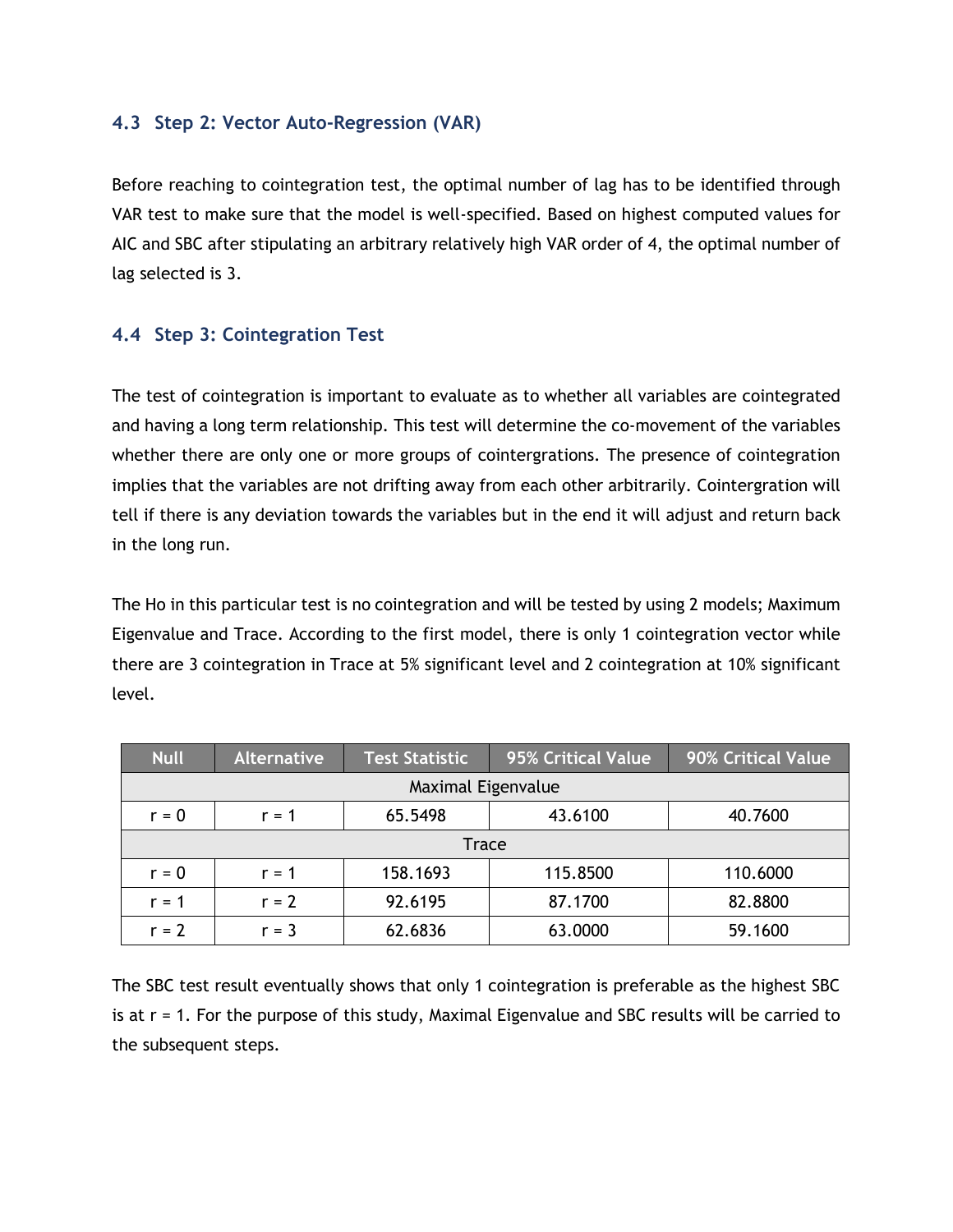#### **4.3 Step 2: Vector Auto-Regression (VAR)**

Before reaching to cointegration test, the optimal number of lag has to be identified through VAR test to make sure that the model is well-specified. Based on highest computed values for AIC and SBC after stipulating an arbitrary relatively high VAR order of 4, the optimal number of lag selected is 3.

## **4.4 Step 3: Cointegration Test**

The test of cointegration is important to evaluate as to whether all variables are cointegrated and having a long term relationship. This test will determine the co-movement of the variables whether there are only one or more groups of cointergrations. The presence of cointegration implies that the variables are not drifting away from each other arbitrarily. Cointergration will tell if there is any deviation towards the variables but in the end it will adjust and return back in the long run.

The Ho in this particular test is no cointegration and will be tested by using 2 models; Maximum Eigenvalue and Trace. According to the first model, there is only 1 cointegration vector while there are 3 cointegration in Trace at 5% significant level and 2 cointegration at 10% significant level.

| <b>Null</b> | <b>Alternative</b> | <b>Test Statistic</b> | 95% Critical Value | 90% Critical Value |  |
|-------------|--------------------|-----------------------|--------------------|--------------------|--|
|             |                    | Maximal Eigenvalue    |                    |                    |  |
| $r = 0$     | $r = 1$            | 65.5498               | 43.6100            | 40.7600            |  |
|             | <b>Trace</b>       |                       |                    |                    |  |
| $r = 0$     | $r = 1$            | 158.1693              | 115.8500           | 110.6000           |  |
| $r = 1$     | $r = 2$            | 92.6195               | 87.1700            | 82.8800            |  |
| $r = 2$     | $r = 3$            | 62.6836               | 63.0000            | 59.1600            |  |

The SBC test result eventually shows that only 1 cointegration is preferable as the highest SBC is at r = 1. For the purpose of this study, Maximal Eigenvalue and SBC results will be carried to the subsequent steps.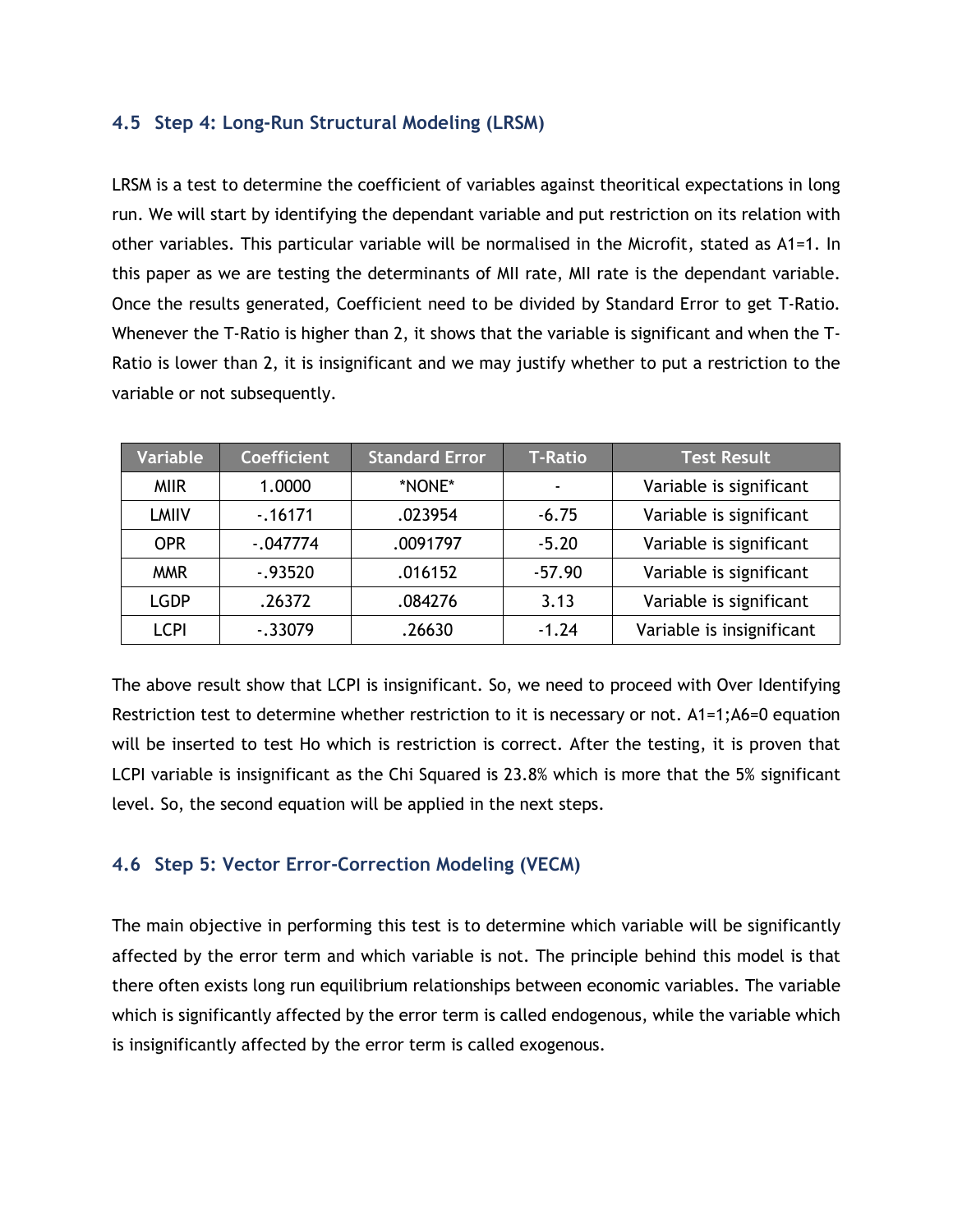### **4.5 Step 4: Long-Run Structural Modeling (LRSM)**

LRSM is a test to determine the coefficient of variables against theoritical expectations in long run. We will start by identifying the dependant variable and put restriction on its relation with other variables. This particular variable will be normalised in the Microfit, stated as A1=1. In this paper as we are testing the determinants of MII rate, MII rate is the dependant variable. Once the results generated, Coefficient need to be divided by Standard Error to get T-Ratio. Whenever the T-Ratio is higher than 2, it shows that the variable is significant and when the T-Ratio is lower than 2, it is insignificant and we may justify whether to put a restriction to the variable or not subsequently.

| <b>Variable</b> | <b>Coefficient</b> | <b>Standard Error</b> | <b>T-Ratio</b> | <b>Test Result</b>        |
|-----------------|--------------------|-----------------------|----------------|---------------------------|
| <b>MIR</b>      | 1.0000             | *NONE*                | ۰              | Variable is significant   |
| <b>LMIIV</b>    | $-0.16171$         | .023954               | $-6.75$        | Variable is significant   |
| <b>OPR</b>      | $-047774$          | .0091797              | $-5.20$        | Variable is significant   |
| <b>MMR</b>      | $-0.93520$         | .016152               | $-57.90$       | Variable is significant   |
| <b>LGDP</b>     | .26372             | .084276               | 3.13           | Variable is significant   |
| <b>LCPI</b>     | $-0.33079$         | .26630                | $-1.24$        | Variable is insignificant |

The above result show that LCPI is insignificant. So, we need to proceed with Over Identifying Restriction test to determine whether restriction to it is necessary or not. A1=1;A6=0 equation will be inserted to test Ho which is restriction is correct. After the testing, it is proven that LCPI variable is insignificant as the Chi Squared is 23.8% which is more that the 5% significant level. So, the second equation will be applied in the next steps.

### **4.6 Step 5: Vector Error-Correction Modeling (VECM)**

The main objective in performing this test is to determine which variable will be significantly affected by the error term and which variable is not. The principle behind this model is that there often exists long run equilibrium relationships between economic variables. The variable which is significantly affected by the error term is called endogenous, while the variable which is insignificantly affected by the error term is called exogenous.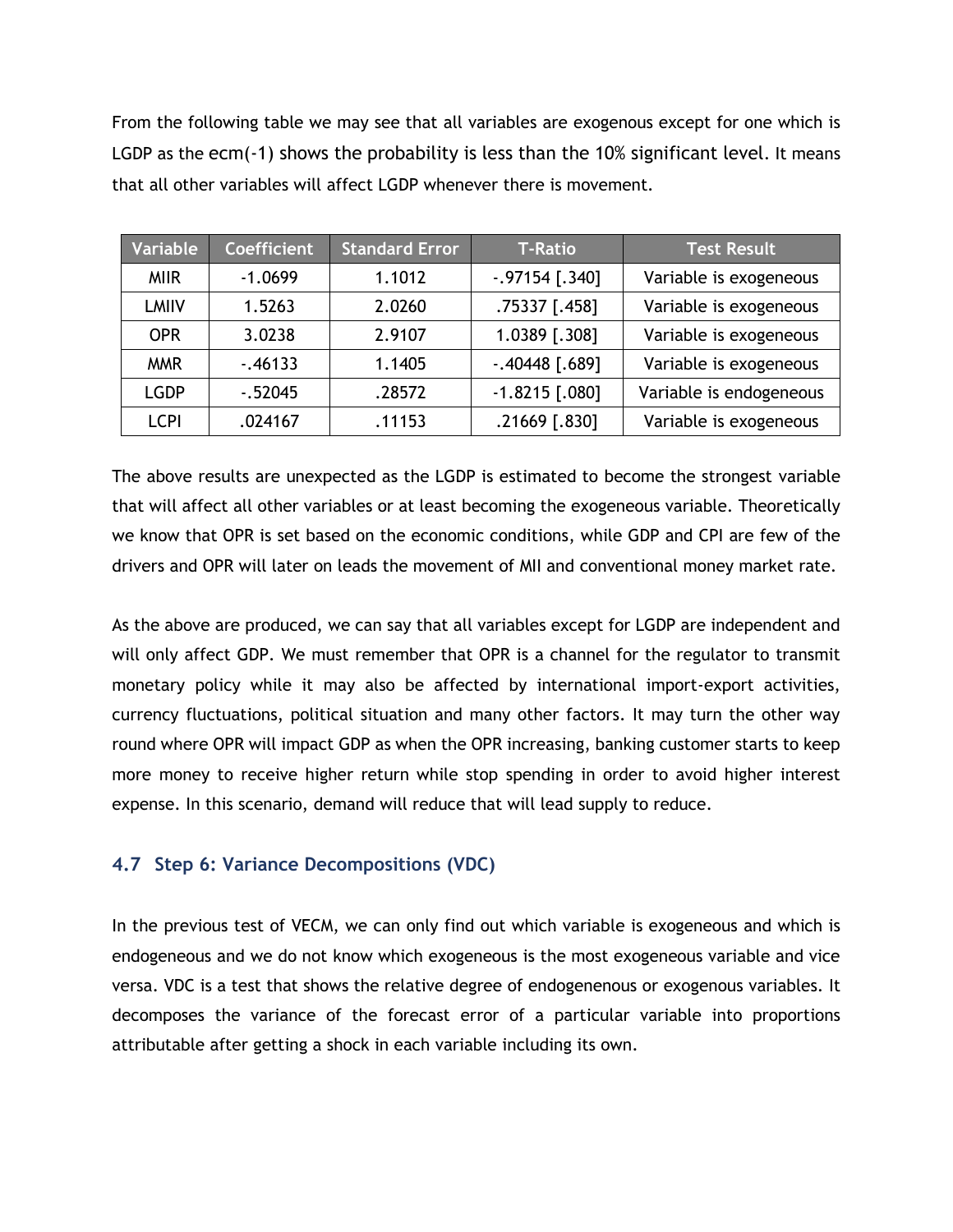From the following table we may see that all variables are exogenous except for one which is LGDP as the ecm(-1) shows the probability is less than the 10% significant level. It means that all other variables will affect LGDP whenever there is movement.

| Variable     | <b>Coefficient</b> | <b>Standard Error</b> | <b>T-Ratio</b>    | <b>Test Result</b>      |
|--------------|--------------------|-----------------------|-------------------|-------------------------|
| <b>MIR</b>   | $-1.0699$          | 1.1012                | $-.97154$ [.340]  | Variable is exogeneous  |
| <b>LMIIV</b> | 1.5263             | 2.0260                | .75337 [.458]     | Variable is exogeneous  |
| <b>OPR</b>   | 3.0238             | 2.9107                | 1.0389 [.308]     | Variable is exogeneous  |
| <b>MMR</b>   | $-0.46133$         | 1.1405                | $-0.40448$ [.689] | Variable is exogeneous  |
| <b>LGDP</b>  | $-0.52045$         | .28572                | $-1.8215$ [.080]  | Variable is endogeneous |
| <b>LCPI</b>  | .024167            | .11153                | .21669 [.830]     | Variable is exogeneous  |

The above results are unexpected as the LGDP is estimated to become the strongest variable that will affect all other variables or at least becoming the exogeneous variable. Theoretically we know that OPR is set based on the economic conditions, while GDP and CPI are few of the drivers and OPR will later on leads the movement of MII and conventional money market rate.

As the above are produced, we can say that all variables except for LGDP are independent and will only affect GDP. We must remember that OPR is a channel for the regulator to transmit monetary policy while it may also be affected by international import-export activities, currency fluctuations, political situation and many other factors. It may turn the other way round where OPR will impact GDP as when the OPR increasing, banking customer starts to keep more money to receive higher return while stop spending in order to avoid higher interest expense. In this scenario, demand will reduce that will lead supply to reduce.

## **4.7 Step 6: Variance Decompositions (VDC)**

In the previous test of VECM, we can only find out which variable is exogeneous and which is endogeneous and we do not know which exogeneous is the most exogeneous variable and vice versa. VDC is a test that shows the relative degree of endogenenous or exogenous variables. It decomposes the variance of the forecast error of a particular variable into proportions attributable after getting a shock in each variable including its own.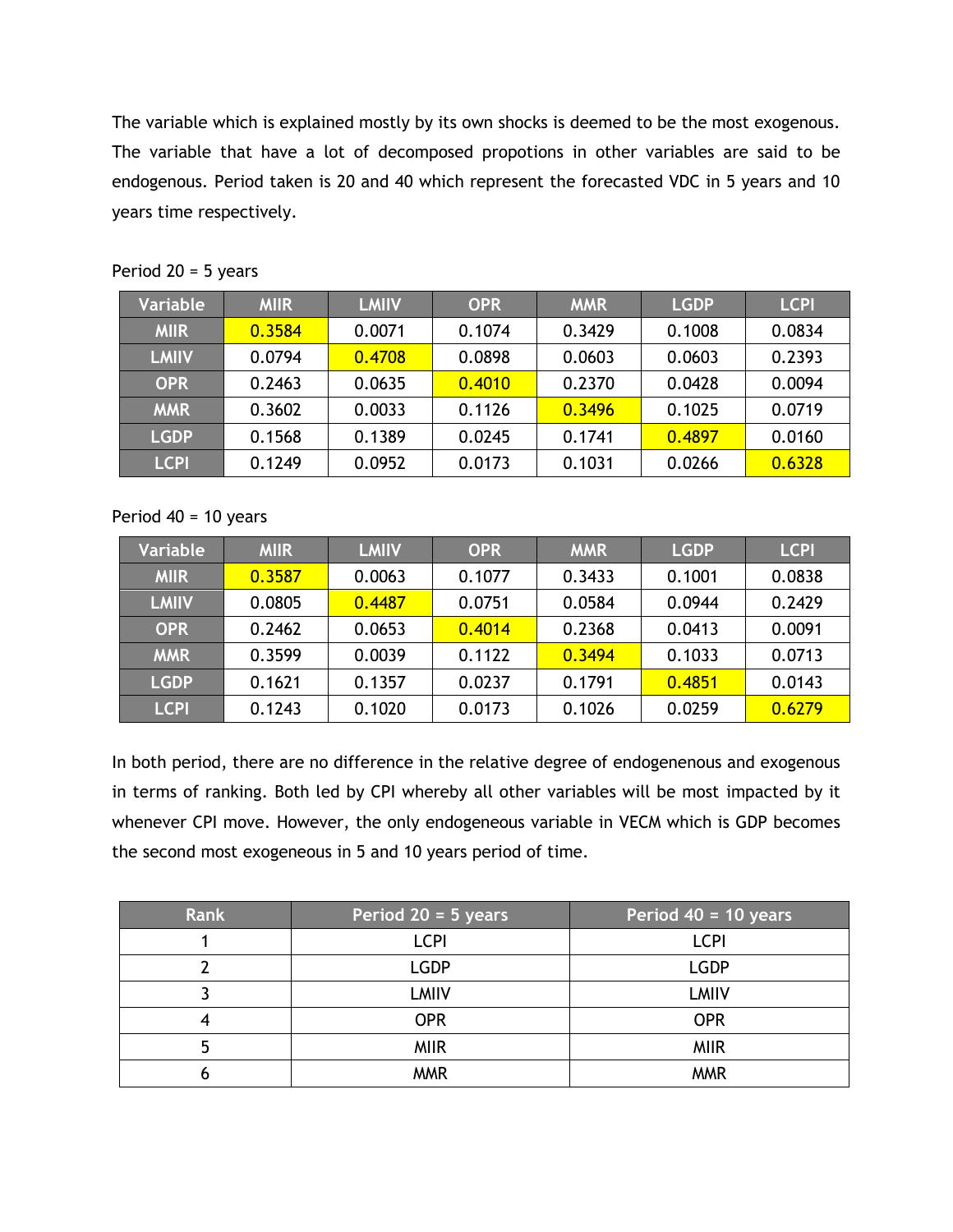The variable which is explained mostly by its own shocks is deemed to be the most exogenous. The variable that have a lot of decomposed propotions in other variables are said to be endogenous. Period taken is 20 and 40 which represent the forecasted VDC in 5 years and 10 years time respectively.

| <b>Variable</b> | <b>MIIR</b> | <b>LMIIV</b> | <b>OPR</b> | <b>MMR</b> | <b>LGDP</b> | <b>LCPI</b> |
|-----------------|-------------|--------------|------------|------------|-------------|-------------|
| <b>MIIR</b>     | 0.3584      | 0.0071       | 0.1074     | 0.3429     | 0.1008      | 0.0834      |
| <b>LMIIV</b>    | 0.0794      | 0.4708       | 0.0898     | 0.0603     | 0.0603      | 0.2393      |
| <b>OPR</b>      | 0.2463      | 0.0635       | 0.4010     | 0.2370     | 0.0428      | 0.0094      |
| <b>MMR</b>      | 0.3602      | 0.0033       | 0.1126     | 0.3496     | 0.1025      | 0.0719      |
| <b>LGDP</b>     | 0.1568      | 0.1389       | 0.0245     | 0.1741     | 0.4897      | 0.0160      |
| <b>LCPI</b>     | 0.1249      | 0.0952       | 0.0173     | 0.1031     | 0.0266      | 0.6328      |

Period 20 = 5 years

### Period  $40 = 10$  years

| <b>Variable</b> | <b>MIIR</b> | <b>LMIIV</b> | <b>OPR</b> | <b>MMR</b> | <b>LGDP</b> | <b>LCPI</b> |
|-----------------|-------------|--------------|------------|------------|-------------|-------------|
| <b>MIIR</b>     | 0.3587      | 0.0063       | 0.1077     | 0.3433     | 0.1001      | 0.0838      |
| <b>LMIIV</b>    | 0.0805      | 0.4487       | 0.0751     | 0.0584     | 0.0944      | 0.2429      |
| <b>OPR</b>      | 0.2462      | 0.0653       | 0.4014     | 0.2368     | 0.0413      | 0.0091      |
| <b>MMR</b>      | 0.3599      | 0.0039       | 0.1122     | 0.3494     | 0.1033      | 0.0713      |
| <b>LGDP</b>     | 0.1621      | 0.1357       | 0.0237     | 0.1791     | 0.4851      | 0.0143      |
| <b>LCPI</b>     | 0.1243      | 0.1020       | 0.0173     | 0.1026     | 0.0259      | 0.6279      |

In both period, there are no difference in the relative degree of endogenenous and exogenous in terms of ranking. Both led by CPI whereby all other variables will be most impacted by it whenever CPI move. However, the only endogeneous variable in VECM which is GDP becomes the second most exogeneous in 5 and 10 years period of time.

| <b>Rank</b> | Period 20 = 5 years | Period $40 = 10$ years |
|-------------|---------------------|------------------------|
|             | <b>LCPI</b>         | <b>LCPI</b>            |
|             | <b>LGDP</b>         | <b>LGDP</b>            |
|             | <b>LMIIV</b>        | <b>LMIIV</b>           |
|             | <b>OPR</b>          | <b>OPR</b>             |
|             | <b>MIIR</b>         | <b>MIIR</b>            |
|             | <b>MMR</b>          | <b>MMR</b>             |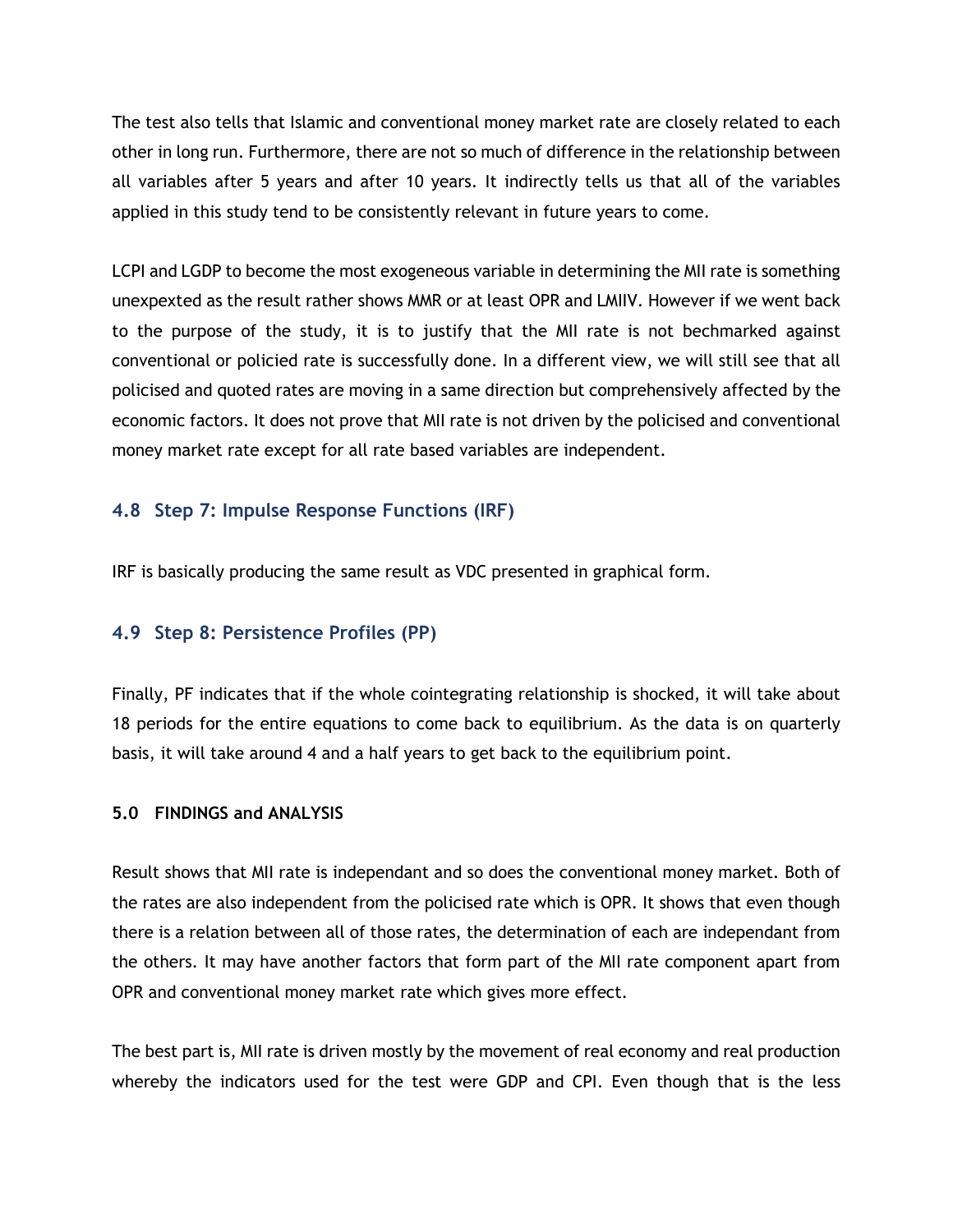The test also tells that Islamic and conventional money market rate are closely related to each other in long run. Furthermore, there are not so much of difference in the relationship between all variables after 5 years and after 10 years. It indirectly tells us that all of the variables applied in this study tend to be consistently relevant in future years to come.

LCPI and LGDP to become the most exogeneous variable in determining the MII rate is something unexpexted as the result rather shows MMR or at least OPR and LMIIV. However if we went back to the purpose of the study, it is to justify that the MII rate is not bechmarked against conventional or policied rate is successfully done. In a different view, we will still see that all policised and quoted rates are moving in a same direction but comprehensively affected by the economic factors. It does not prove that MII rate is not driven by the policised and conventional money market rate except for all rate based variables are independent.

## **4.8 Step 7: Impulse Response Functions (IRF)**

IRF is basically producing the same result as VDC presented in graphical form.

### **4.9 Step 8: Persistence Profiles (PP)**

Finally, PF indicates that if the whole cointegrating relationship is shocked, it will take about 18 periods for the entire equations to come back to equilibrium. As the data is on quarterly basis, it will take around 4 and a half years to get back to the equilibrium point.

#### **5.0 FINDINGS and ANALYSIS**

Result shows that MII rate is independant and so does the conventional money market. Both of the rates are also independent from the policised rate which is OPR. It shows that even though there is a relation between all of those rates, the determination of each are independant from the others. It may have another factors that form part of the MII rate component apart from OPR and conventional money market rate which gives more effect.

The best part is, MII rate is driven mostly by the movement of real economy and real production whereby the indicators used for the test were GDP and CPI. Even though that is the less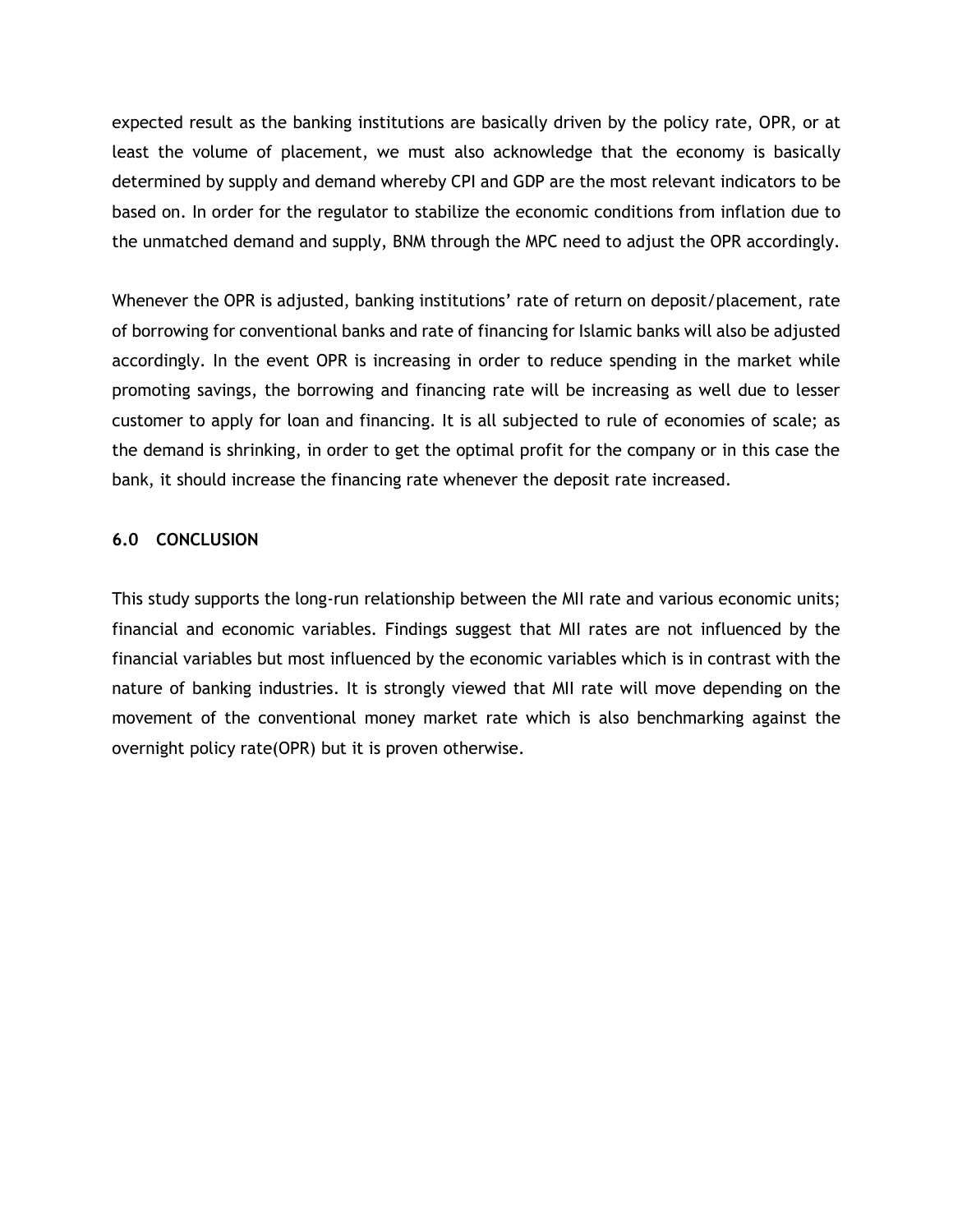expected result as the banking institutions are basically driven by the policy rate, OPR, or at least the volume of placement, we must also acknowledge that the economy is basically determined by supply and demand whereby CPI and GDP are the most relevant indicators to be based on. In order for the regulator to stabilize the economic conditions from inflation due to the unmatched demand and supply, BNM through the MPC need to adjust the OPR accordingly.

Whenever the OPR is adjusted, banking institutions' rate of return on deposit/placement, rate of borrowing for conventional banks and rate of financing for Islamic banks will also be adjusted accordingly. In the event OPR is increasing in order to reduce spending in the market while promoting savings, the borrowing and financing rate will be increasing as well due to lesser customer to apply for loan and financing. It is all subjected to rule of economies of scale; as the demand is shrinking, in order to get the optimal profit for the company or in this case the bank, it should increase the financing rate whenever the deposit rate increased.

#### **6.0 CONCLUSION**

This study supports the long-run relationship between the MII rate and various economic units; financial and economic variables. Findings suggest that MII rates are not influenced by the financial variables but most influenced by the economic variables which is in contrast with the nature of banking industries. It is strongly viewed that MII rate will move depending on the movement of the conventional money market rate which is also benchmarking against the overnight policy rate(OPR) but it is proven otherwise.